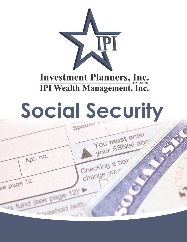

**Investment Planners, Inc. IPI Wealth Management, Inc.** 

# Social Security Spouse's s

Apt. no.

Lis fund (see page 12)'

u<sub>isehold (with)</sub>

ee page 12.

You must enter

Checking a box

change your

your SSN(s) abo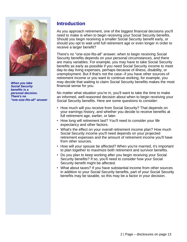

*When you take Social Security benefits is a personal decision. There's no "one-size-fits-all" answer*

## **Introduction**

As you approach retirement, one of the biggest financial decisions you'll need to make is when to begin receiving your Social Security benefits. Should you begin receiving a smaller Social Security benefit early, or should you opt to wait until full retirement age or even longer in order to receive a larger benefit?

There's no ''one-size-fits-all" answer; when to begin receiving Social Security benefits depends on your personal circumstances, and there are many variables. For example, you may have to take Social Security benefits as early as possible if you need Social Security income to meet day-to-day living expenses, perhaps because of illness, disability, or unemployment. But if that's not the case--if you have other sources of retirement income or you want to continue working, for example, you may decide that waiting to claim Social Security benefits makes the most financial sense for you.

No matter what situation you're in, you'll want to take the time to make an informed, well-reasoned decision about when to begin receiving your Social Security benefits. Here are some questions to consider:

- How much will you receive from Social Security? That depends on your earnings history, and whether you decide to receive benefits at full retirement age, earlier, or later.
- How long will retirement last? You'll need to consider your life expectancy and other factors.
- What's the effect on your overall retirement income plan? How much Social Security income you'll need depends on your projected retirement expenses and the amount of retirement income you'll have from other sources.
- How will your spouse be affected? When you're married, it's important to plan together to maximize both retirement and survivor benefits.
- Do you plan to keep working after you begin receiving your Social Security benefits? If so, you'll need to consider how your Social Security benefit might be affected.
- What about taxes? If you have substantial income from other sources in addition to your Social Security benefits, part of your Social Security benefits may be taxable, so this may be a factor in your decision.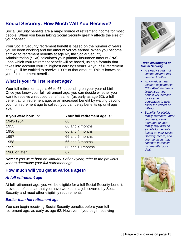# **Social Security: How Much Will You Receive?**

Social Security benefits are a major source of retirement income for most people. When you begin taking Social Security greatly affects the size of your benefit.

Your Social Security retirement benefit is based on the number of years you've been working and the amount you've earned. When you become entitled to retirement benefits at age 62, the Social Security Administration (SSA) calculates your primary insurance amount (PIA), upon which your retirement benefit will be based, using a formula that takes into account your 35 highest earnings years. At your full retirement age, you'll be entitled to receive 100% of that amount. This is known as your full retirement benefit.

## **What is your full retirement age?**

Your full retirement age is 66 to 67, depending on your year of birth. Once you know your full retirement age, you can decide whether you want to receive a reduced benefit earlier (as early as age 62), a full benefit at full retirement age, or an increased benefit by waiting beyond your full retirement age to collect (you can delay benefits up until age 70).

| If you were born in: | Your full retirement age is: |  |
|----------------------|------------------------------|--|
| 1943-1954            | 66                           |  |
| 1955                 | 66 and 2 months              |  |
| 1956                 | 66 and 4 months              |  |
| 1957                 | 66 and 6 months              |  |
| 1958                 | 66 and 8 months              |  |
| 1959                 | 66 and 10 months             |  |
| 1960 or later        | 67                           |  |

*Note: If you were born on January 1 of any year, refer to the previous year to determine your full retirement age.*

## **How much will you get at various ages?**

#### *At full retirement age*

At full retirement age, you will be eligible for a full Social Security benefit, provided, of course, that you have worked in a job covered by Social Security and meet other eligibility requirements.

#### *Earlier than full retirement age*

You can begin receiving Social Security benefits before your full retirement age, as early as age 62. However, if you begin receiving



#### *Three advantages of Social Security*

- *• A steady stream of lifetime income that you can't outlive*
- *• Automatic annual inflation adjustments (COLA)--if the cost of living rises, your benefit will increase by a certain percentage to help offset the effects of inflation*
- *• Benefits for eligible family members--after you retire, certain members of your family may also be eligible for benefits based on your Social Security record, and your survivors may continue to receive income after your death*

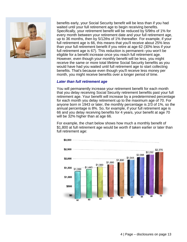

benefits early, your Social Security benefit will be less than if you had waited until your full retirement age to begin receiving benefits. Specifically, your retirement benefit will be reduced by 5/9ths of 1% for every month between your retirement date and your full retirement age, up to 36 months, then by 5/12ths of 1% thereafter. For example, if your full retirement age is 66, this means that you'll receive about 25% less than your full retirement benefit if you retire at age 62 (30% less if your full retirement age is 67). This reduction is permanent--you won't be eligible for a benefit increase once you reach full retirement age. However, even though your monthly benefit will be less, you might receive the same or more total lifetime Social Security benefits as you would have had you waited until full retirement age to start collecting benefits. That's because even though you'll receive less money per month, you might receive benefits over a longer period of time.

#### *Later than full retirement age*

You will permanently increase your retirement benefit for each month that you delay receiving Social Security retirement benefits past your full retirement age. Your benefit will increase by a predetermined percentage for each month you delay retirement up to the maximum age of 70. For anyone born in 1943 or later, the monthly percentage is 2/3 of 1%, so the annual percentage is 8%. So, for example, if your full retirement age is 66 and you delay receiving benefits for 4 years, your benefit at age 70 will be 32% higher than at age 66.

For example, the chart below shows how much a monthly benefit of \$1,800 at full retirement age would be worth if taken earlier or later than full retirement age:

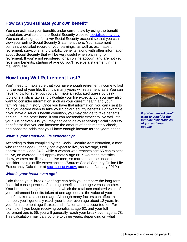#### **How can you estimate your own benefit?**

You can estimate your benefits under current law by using the benefit calculators available on the Social Security website, [socialsecurity.gov.](http://www.socialsecurity.gov/) You can also sign up for a *my* Social Security account so that you can view your online Social Security Statement there. Your statement contains a detailed record of your earnings, as well as estimates of retirement, survivor's, and disability benefits, along with other information about Social Security that will be very useful when planning for retirement. If you're not registered for an online account and are not yet receiving benefits, starting at age 60 you'll receive a statement in the mail annually.

## **How Long Will Retirement Last?**

You'll need to make sure that you have enough retirement income to last for the rest of your life. But how many years will retirement last? You can never know for sure, but you can make an educated guess by using tools or statistical tables to calculate your life expectancy. You may also want to consider information such as your current health and your family's health history. Once you have that information, you can use it to help you decide when to take your Social Security benefits. For example, if you have a serious health condition, you may decide to take benefits earlier. On the other hand, if you can reasonably expect to live well into your 80s or even 90s, you may decide to delay receiving Social Security benefits so that you can increase the amount of each monthly check, and boost the odds that you'll have enough income for the years ahead.

#### *What is your statistical life expectancy?*

According to data compiled by the Social Security Administration, a man who reaches age 65 today can expect to live, on average, until approximately age 84.2, while a woman who reaches age 65 can expect to live, on average, until approximately age 86.7. As these statistics show, women are likely to outlive men, so married couples need to consider their joint life expectancies. (Source: Social Security Online Life Expectancy Calculator at [socialsecurity.gov,](https://www.socialsecurity.gov/) accessed January 2019.)

#### *What is your break-even age?*

Calculating your "break-even" age can help you compare the long-term financial consequences of starting benefits at one age versus another. Your break-even age is the age at which the total accumulated value of your retirement benefits taken at one age equals the value of your benefits taken at a second age. Although many factors can affect this number, you'll generally reach your break-even age about 12 years from your full retirement age if taxes and inflation aren't accounted for. For example, if you begin receiving benefits at age 62, and your full retirement age is 66, you will generally reach your break-even age at 78. This calculation may vary by one to three years, depending on what



*If you're married, you'll want to consider the joint life expectancies of you and your spouse.*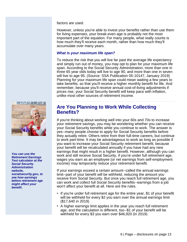factors are used.

However, unless you're able to invest your benefits rather than use them for living expenses, your break-even age is probably not the most important part of the equation. For many people, what really counts is how much they'll receive each month, rather than how much they'll accumulate over many years.

#### *What is your maximum life span?*

To reduce the risk that you will live far past the average life expectancy and simply run out of money, you may opt to plan for your maximum life span. According to the Social Security Administration, more than one in three 65 year olds today will live to age 90, and more than one in seven will live to age 95. (Source: SSA Publication 05-10147, January 2019) Planning for your maximum life span could mean waiting a few years to take benefits, so that you'll receive a higher monthly benefit for life. And remember, because you'll receive annual cost-of-living adjustments if prices rise, your Social Security benefit will keep pace with inflation, unlike most other sources of retirement income.



*You can use the Retirement Earnings Test calculator at the Social Security Administration website, socialsecurity.gov, to see how earnings before retirement age might affect your benefit.*

## **Are You Planning to Work While Collecting Benefits?**

If you're thinking about working well into your 60s and 70s to increase your retirement savings, you may be wondering whether you can receive your Social Security benefits while you continue to work. The answer is yes--many people choose to apply for Social Security benefits before they actually retire. Others retire from their full-time careers, but continue to work part-time. It may be advantageous to work as long as possible if you want to increase your Social Security retirement benefit, because your benefit will be recalculated annually if you have had any new earnings that might result in a higher benefit. However, although you can work and still receive Social Security, if you're under full retirement age, wages you earn as an employee (or net earnings from self-employment income) may temporarily reduce your retirement benefit.

If your earnings exceed a certain amount--called the annual earnings limit--part of your benefit will be withheld, reducing the amount you receive from Social Security. But once you reach full retirement age, you can work and collect full Social Security benefits--earnings from a job won't affect your benefit at all. Here are the rules.

- If you're under full retirement age for the entire year, \$1 of your benefit will be withheld for every \$2 you earn over the annual earnings limit (\$17,640 in 2019)
- A higher earnings limit applies in the year you reach full retirement age, and the calculation is different, too--\$1 of your benefit will be withheld for every \$3 you earn over \$46,920 (in 2019)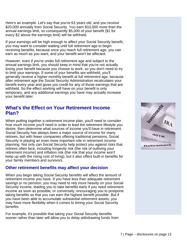Here's an example. Let's say that you're 63 years old, and you receive \$20,000 annually from Social Security. You earn \$10,000 more than the annual earnings limit, so consequently \$5,000 of your benefit (\$1 for every \$2 above the earnings limit) will be withheld.

If your earnings will be high enough to affect your Social Security benefit, you may want to consider waiting until full retirement age to begin receiving benefits, because once you reach full retirement age, you can earn as much as you want, and your benefit won't be affected.

However, even if you're under full retirement age and subject to the annual earnings limit, you should keep in mind that you're not actually losing your benefit because you choose to work, so you don't need to try to limit your earnings. If some of your benefits are withheld, you'll generally receive a higher monthly benefit at full retirement age, because after retirement age the Social Security Administration recalculates your benefit every year and gives you credit for any of those earnings that are withheld. So the effect working will have on your benefit is only temporary, and any additional earnings you have may actually increase your benefit later.

## **What's the Effect on Your Retirement Income Plan?**

When putting together a retirement income plan, you'll need to consider how much income you'll need in order to lead the retirement lifestyle you desire, then determine what sources of income you'll have in retirement. Social Security has always been a major source of income for many retirees, but with fewer companies offering traditional pensions, Social Security is playing an even more important role in retirement income planning. Not only can Social Security help protect you against risks that retirees often face, including longevity risk (the risk of outliving your retirement income) and inflation risk (the risk that your income won't keep up with the rising cost of living), but it also offers built-in benefits for your family members and survivors.

## **Other retirement benefits may affect your decision**

When you begin taking Social Security benefits will affect the amount of retirement income you have. If you have less than adequate retirement savings or no pension, you may need to rely more heavily on your Social Security income, leading you to take benefits early if you need retirement income as soon as possible, or conversely, encouraging you to postpone taking benefits so that you can earn the highest benefit possible. But if you have been able to accumulate substantial retirement assets, you may have more flexibility when it comes to timing your Social Security benefits.

For example, it's possible that taking your Social Security benefits sooner rather than later will allow you to delay withdrawing funds from

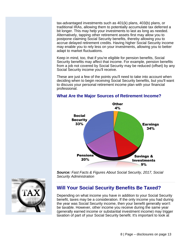tax-advantaged investments such as 401(k) plans, 403(b) plans, or traditional IRAs, allowing them to potentially accumulate tax deferred a bit longer. This may help your investments to last as long as needed. Alternatively, tapping other retirement assets first may allow you to postpone claiming Social Security benefits, thereby allowing you to accrue delayed retirement credits. Having higher Social Security income may enable you to rely less on your investments, allowing you to better adapt to market fluctuations.

Keep in mind, too, that if you're eligible for pension benefits, Social Security benefits may affect that income. For example, pension benefits from a job not covered by Social Security may be reduced (offset) by any Social Security income you'll receive.

These are just a few of the points you'll need to take into account when deciding when to begin receiving Social Security benefits, but you'll want to discuss your personal retirement income plan with your financial professional.



#### **What Are the Major Sources of Retirement Income?**

*Source: Fast Facts & Figures About Social Security, 2017, Social Security Administration*



## **Will Your Social Security Benefits Be Taxed?**

Depending on what income you have in addition to your Social Security benefit, taxes may be a consideration. If the only income you had during the year was Social Security income, then your benefit generally won't be taxable. However, other income you receive during the same year (generally earned income or substantial investment income) may trigger taxation of part of your Social Security benefit. It's important to look at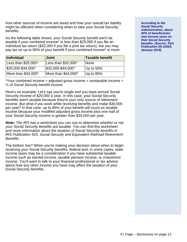how other sources of income are taxed and how your overall tax liability might be affected when considering when to take your Social Security benefits.

As the following table shows, your Social Security benefit won't be taxable if your combined income\* is less than \$25,000 if you file an individual tax return (\$32,000 if you file a joint tax return), but you may pay tax on up to 85% of your benefit if your combined income\* is more.

| Individual           | <b>Joint</b>          | Taxable benefit |
|----------------------|-----------------------|-----------------|
| Less than $$25,000*$ | Less than \$32,000*   | <b>None</b>     |
| \$25,000-\$34,000*   | $$32,000 - $44,000^*$ | Up to 50%       |
| More than \$34,000*  | More than \$44,000*   | Up to 85%       |

\*Your combined income = adjusted gross income + nontaxable income + ½ of Social Security benefit income

Here's an example. Let's say you're single and you have annual Social Security income of \$20,000 a year. In this case, your Social Security benefits aren't taxable because they're your only source of retirement income. But what if you work while receiving benefits and make \$30,000 per year? In that case, up to 85% of your benefit will count as taxable income because your modified adjusted gross income plus one-half of your Social Security income is greater than \$34,000 per year.

*Note: The IRS has a worksheet you can use to determine whether or not your Social Security benefits are taxable. You can find this worksheet and more information about the taxation of Social Security benefits in IRS Publication 915, Social Security and Equivalent Railroad Retirement Benefits.*

The bottom line? When you're making your decision about when to begin receiving your Social Security benefits, federal and, in some cases, state income taxes may be a consideration if you have substantial taxable income such as earned income, taxable pension income, or investment income. You'll want to talk to your financial professional or tax advisor about how any other income you have may affect the taxation of your Social Security benefits.

*According to the Social Security Administration, about 40% of beneficiaries owe income taxes on their Social Security benefits. (Source: SSA Publication 05-10024, January 2019)*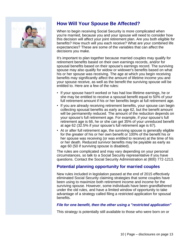

# **How Will Your Spouse Be Affected?**

When to begin receiving Social Security is more complicated when you're married, because you and your spouse will need to consider how this decision will affect your joint retirement plan. Are you both eligible for benefits? How much will you each receive? What are your combined life expectancies? These are some of the variables that can affect the decisions you make.

It's important to plan together because married couples may qualify for retirement benefits based on their own earnings records, and/or for spousal benefits based on their spouse's earnings record. The surviving spouse may also qualify for widow or widower's benefits based on what his or her spouse was receiving. The age at which you begin receiving benefits may significantly affect the amount of lifetime income you and your spouse receive, as well as the benefit the surviving spouse will be entitled to. Here are a few of the rules:

- If your spouse hasn't worked or has had low lifetime earnings, he or she may be entitled to receive a spousal benefit equal to 50% of your full retirement amount if his or her benefits begin at full retirement age.
- If you are already receiving retirement benefits, your spouse can begin collecting spousal benefits as early as age 62, but the benefit amount will be permanently reduced. The amount of the reduction depends on your spouse's full retirement age. For example, if your spouse's full retirement age is 66, he or she can get 35% of your unreduced benefit at age 62 (32.5% if your spouse's full retirement age is 67).
- At or after full retirement age, the surviving spouse is generally eligible for the greater of his or her own benefit or 100% of the benefit his or her spouse was receiving (or was entitled to receive) at the time of his or her death. Reduced survivor benefits may be payable as early as age 60 (50 if surviving spouse is disabled).

The rules are complicated and may vary depending on your personal circumstances, so talk to a Social Security representative if you have questions. Contact the Social Security Administration at (800) 772-1213.

### **Potential planning opportunity for married couples**

New rules included in legislation passed at the end of 2015 effectively eliminated Social Security claiming strategies that some couples have been using to maximize both retirement income and income for the surviving spouse. However, some individuals have been grandfathered under the old rules, and have a limited window of opportunity to take advantage of a strategy called filing a restricted application for spousal benefits.

#### *File for one benefit, then the other using a "restricted application"*

This strategy is potentially still available to those who were born on or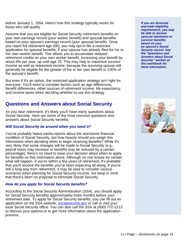before January 1, 1954. Here's how this strategy typically works for those who still qualify.

Assume that you are eligible for Social Security retirement benefits on your own earnings record (your worker benefit) and spousal benefits based on your spouse's earnings record (your spousal benefit). Once you reach full retirement age (66), you may opt to file a restricted application for spousal benefits, if your spouse has already filed for his or her own worker benefit. This allows you to accumulate delayed retirement credits on your own worker benefit, increasing your benefit by about 8% per year, up until age 70. This may help to maximize survivor income as well as retirement income, because the surviving spouse will generally be eligible for the greater of his or her own benefit or 100% of the spouse's benefit.

But even if it's an option, the restricted application strategy isn't right for everyone. You'll need to consider factors such as age differences, benefit differences, other sources of retirement income, life expectancy, and income taxes when deciding whether to use this strategy.

## **Questions and Answers about Social Security**

As you near retirement, it's likely you'll have many questions about Social Security. Here are some of the most common questions and answers about Social Security benefits.

#### *Will Social Security be around when you need it?*

You've probably heard media reports about the worrisome financial condition of Social Security, but how heavily should you weigh this information when deciding when to begin receiving benefits? While it's very likely that some changes will be made to Social Security (e.g., payroll taxes may increase or benefits may be reduced by a certain percentage), there's no need to base your decision about when to apply for benefits on this information alone. Although no one knows for certain what will happen, if you're within a few years of retirement, it's probable that you'll receive the benefits you've been expecting all along. If you're still a long way from retirement, it may be wise to consider various scenarios when planning for Social Security income, but keep in mind that there's been no proposal to eliminate Social Security.

### *How do you apply for Social Security benefits?*

According to the Social Security Administration (SSA), you should apply for Social Security benefits approximately three months before your retirement date. To apply for Social Security benefits, you can fill out an application on the SSA website, [socialsecurity.gov](http://www.socialsecurity.gov/) or call or visit your local Social Security office. You can also call the SSA at (800) 772-1213 to discuss your options or to get more information about the application process.

*If you are divorced and meet eligibility requirements, you may be able to receive spousal retirement or survivor benefits based on your ex-spouse's Social Security record. See the "Questions and Answers about Social Security" section of this workbook for more information.*

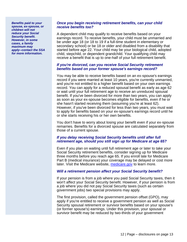*Benefits paid to your spouse, ex-spouse, or children will not reduce your Social Security benefit. However, in some cases, a family maximum may apply--contact the SSA for more information.*

#### *Once you begin receiving retirement benefits, can your child receive benefits too?*

A dependent child may qualify to receive benefits based on your earnings record. To receive benefits, your child must be unmarried and be under age 18 (or 18 to 19 if a full-time student in elementary or secondary school) or be 18 or older and disabled from a disability that started before age 22. Your child may be your biological child, adopted child, stepchild, or dependent grandchild. Your qualifying child may receive a benefit that is up to one-half of your full retirement benefit.

#### *If you're divorced, can you receive Social Security retirement benefits based on your former spouse's earnings record?*

You may be able to receive benefits based on an ex-spouse's earnings record if you were married at least 10 years, you're currently unmarried, and you're not entitled to a higher benefit based on your own earnings record. You can apply for a reduced spousal benefit as early as age 62 or wait until your full retirement age to receive an unreduced spousal benefit. If you've been divorced for more than two years, you can apply as soon as your ex-spouse becomes eligible for benefits, even if he or she hasn't started receiving them (assuming you're at least 62). However, if you've been divorced for less than two years, you must wait to apply for benefits based on your ex-spouse's earnings record until he or she starts receiving his or her own benefits.

You don't have to worry about losing your benefit even if your ex-spouse remarries. Benefits for a divorced spouse are calculated separately from those of a current spouse.

#### *If you delay receiving Social Security benefits until after full retirement age, should you still sign up for Medicare at age 65?*

Even if you plan on waiting until full retirement age or later to take your Social Security retirement benefits, consider signing up for Medicare three months before you reach age 65. If you enroll late for Medicare Part B (medical insurance) your coverage may be delayed or cost more later. Visit the Medicare website, [medicare.gov](http://www.medicare.gov/) to learn more.

#### *Will a retirement pension affect your Social Security benefit?*

If your pension is from a job where you paid Social Security taxes, then it won't affect your Social Security benefit. However, if your pension is from a job where you did not pay Social Security taxes (such as certain government jobs) two special provisions may apply.

The first provision, called the government pension offset (GPO), may apply if you're entitled to receive a government pension as well as Social Security spousal retirement or survivor benefits based on your spouse's (or former spouse's) earnings. Under this provision, your spousal or survivor benefit may be reduced by two-thirds of your government